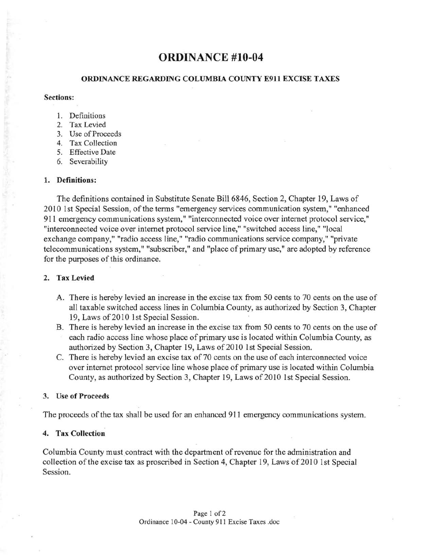# **ORDINANCE #10-04**

## ORDINANCE REGARDING COLUMBIA COUNTY E911 EXCISE TAXES

#### Sections:

- 1. Definitions
- 2. Tax Levied
- 3. Use of Proceeds
- 4. Tax Collection
- 5. Effective Date
- 6. Severability

#### 1. Definitions:

The definitions contained in Substitute Senate Bill 6846, Section 2, Chapter 19, Laws of 2010 1st Special Session, of the terms "emergency services communication system," "enhanced 911 emergency communications system," "interconnected voice over internet protocol service," "interconnected voice over internet protocol service line," "switched access line," "local exchange company," "radio access line," "radio communications service company," "private telecommunications system," "subscriber," and "place of primary use," are adopted by reference for the purposes of this ordinance.

#### 2. Tax Levied

- A. There is hereby levied an increase in the excise tax from 50 cents to 70 cents on the use of all taxable switched access lines in Columbia County, as authorized by Section 3, Chapter 19, Laws of 2010 1st Special Session.
- B. There is hereby levied an increase in the excise tax from 50 cents to 70 cents on the use of each radio access line whose place of primary use is located within Columbia County, as authorized by Section 3, Chapter 19, Laws of 2010 1st Special Session.
- C. There is hereby levied an excise tax of 70 cents on the use of each interconnected voice over internet protocol service line whose place of primary use is located within Columbia County, as authorized by Section 3, Chapter 19, Laws of 2010 1st Special Session.

#### 3. Use of Proceeds

The proceeds of the tax shall be used for an enhanced 911 emergency communications system.

## 4. Tax Collection

Columbia County must contract with the department of revenue for the administration and collection of the excise tax as proscribed in Section 4, Chapter 19, Laws of 2010 1st Special Session.